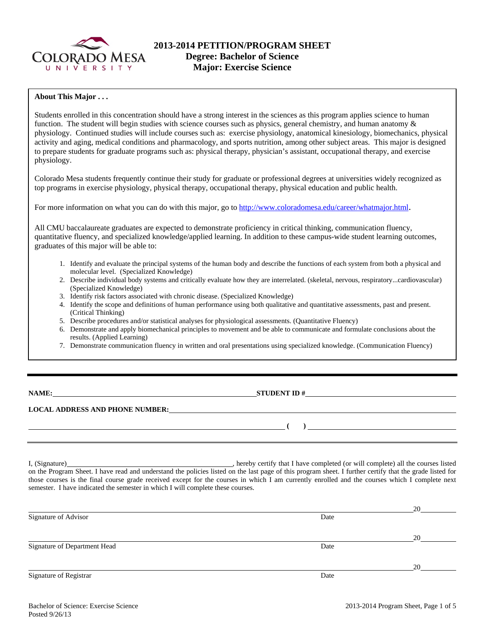

### **About This Major . . .**

Students enrolled in this concentration should have a strong interest in the sciences as this program applies science to human function. The student will begin studies with science courses such as physics, general chemistry, and human anatomy  $\&$ physiology. Continued studies will include courses such as: exercise physiology, anatomical kinesiology, biomechanics, physical activity and aging, medical conditions and pharmacology, and sports nutrition, among other subject areas. This major is designed to prepare students for graduate programs such as: physical therapy, physician's assistant, occupational therapy, and exercise physiology.

Colorado Mesa students frequently continue their study for graduate or professional degrees at universities widely recognized as top programs in exercise physiology, physical therapy, occupational therapy, physical education and public health.

For more information on what you can do with this major, go to http://www.coloradomesa.edu/career/whatmajor.html.

All CMU baccalaureate graduates are expected to demonstrate proficiency in critical thinking, communication fluency, quantitative fluency, and specialized knowledge/applied learning. In addition to these campus-wide student learning outcomes, graduates of this major will be able to:

- 1. Identify and evaluate the principal systems of the human body and describe the functions of each system from both a physical and molecular level. (Specialized Knowledge)
- 2. Describe individual body systems and critically evaluate how they are interrelated. (skeletal, nervous, respiratory...cardiovascular) (Specialized Knowledge)
- 3. Identify risk factors associated with chronic disease. (Specialized Knowledge)
- 4. Identify the scope and definitions of human performance using both qualitative and quantitative assessments, past and present. (Critical Thinking)
- 5. Describe procedures and/or statistical analyses for physiological assessments. (Quantitative Fluency)
- 6. Demonstrate and apply biomechanical principles to movement and be able to communicate and formulate conclusions about the results. (Applied Learning)
- 7. Demonstrate communication fluency in written and oral presentations using specialized knowledge. (Communication Fluency)

| <b>NAME:</b> |  |
|--------------|--|
|--------------|--|

**STUDENT ID #** 

 **(** )  *)* **<b>1** 

**LOCAL ADDRESS AND PHONE NUMBER:**

I, (Signature) , hereby certify that I have completed (or will complete) all the courses listed on the Program Sheet. I have read and understand the policies listed on the last page of this program sheet. I further certify that the grade listed for those courses is the final course grade received except for the courses in which I am currently enrolled and the courses which I complete next semester. I have indicated the semester in which I will complete these courses.

|                              |      | 20 |
|------------------------------|------|----|
| Signature of Advisor         | Date |    |
|                              |      | 20 |
| Signature of Department Head | Date |    |
|                              |      | 20 |
| Signature of Registrar       | Date |    |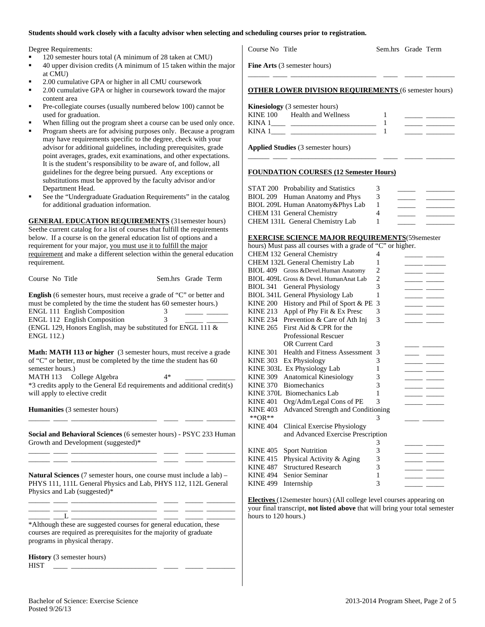#### **Students should work closely with a faculty advisor when selecting and scheduling courses prior to registration.**

|  | Degree Requirements: |
|--|----------------------|
|  |                      |

- 120 semester hours total (A minimum of 28 taken at CMU)
- 40 upper division credits (A minimum of 15 taken within the major at CMU)
- 2.00 cumulative GPA or higher in all CMU coursework
- 2.00 cumulative GPA or higher in coursework toward the major content area
- Pre-collegiate courses (usually numbered below 100) cannot be used for graduation.
- When filling out the program sheet a course can be used only once.
- Program sheets are for advising purposes only. Because a program may have requirements specific to the degree, check with your advisor for additional guidelines, including prerequisites, grade point averages, grades, exit examinations, and other expectations. It is the student's responsibility to be aware of, and follow, all guidelines for the degree being pursued. Any exceptions or substitutions must be approved by the faculty advisor and/or Department Head.
- See the "Undergraduate Graduation Requirements" in the catalog for additional graduation information.

**GENERAL EDUCATION REQUIREMENTS** (31semester hours) Seethe current catalog for a list of courses that fulfill the requirements below. If a course is on the general education list of options and a requirement for your major, you must use it to fulfill the major requirement and make a different selection within the general education requirement.

| Course No Title                                                                                                                                  | Sem.hrs Grade Term |  |
|--------------------------------------------------------------------------------------------------------------------------------------------------|--------------------|--|
| <b>English</b> (6 semester hours, must receive a grade of "C" or better and<br>must be completed by the time the student has 60 semester hours.) |                    |  |

|                   | <b>ENGL 111 English Composition</b>                             |  |
|-------------------|-----------------------------------------------------------------|--|
|                   | <b>ENGL 112 English Composition</b>                             |  |
|                   | (ENGL 129, Honors English, may be substituted for ENGL 111 $\&$ |  |
| <b>ENGL 112.)</b> |                                                                 |  |

**Math: MATH 113 or higher** (3 semester hours, must receive a grade of "C" or better, must be completed by the time the student has 60 semester hours.) MATH 113 College Algebra  $4*$ \*3 credits apply to the General Ed requirements and additional credit(s) will apply to elective credit

**Humanities** (3 semester hours)

**Social and Behavioral Sciences** (6 semester hours) - PSYC 233 Human Growth and Development (suggested)\* \_\_\_\_\_\_ \_\_\_\_ \_\_\_\_\_\_\_\_\_\_\_\_\_\_\_\_\_\_\_\_\_\_\_\_ \_\_\_\_ \_\_\_\_\_ \_\_\_\_\_\_\_\_

\_\_\_\_\_\_ \_\_\_\_ \_\_\_\_\_\_\_\_\_\_\_\_\_\_\_\_\_\_\_\_\_\_\_\_ \_\_\_\_ \_\_\_\_\_ \_\_\_\_\_\_\_\_

\_\_\_\_\_\_ \_\_\_\_ \_\_\_\_\_\_\_\_\_\_\_\_\_\_\_\_\_\_\_\_\_\_\_\_ \_\_\_\_ \_\_\_\_\_ \_\_\_\_\_\_\_\_

**Natural Sciences** (7 semester hours, one course must include a lab) – PHYS 111, 111L General Physics and Lab, PHYS 112, 112L General Physics and Lab (suggested)\*

\_\_\_\_\_\_ \_\_\_\_ \_\_\_\_\_\_\_\_\_\_\_\_\_\_\_\_\_\_\_\_\_\_\_\_ \_\_\_\_ \_\_\_\_\_ \_\_\_\_\_\_\_\_ \_\_\_\_\_\_ \_\_\_\_ \_\_\_\_\_\_\_\_\_\_\_\_\_\_\_\_\_\_\_\_\_\_\_\_ \_\_\_\_ \_\_\_\_\_ \_\_\_\_\_\_\_\_

\_\_\_\_\_\_ \_\_\_L \_\_\_\_\_\_\_\_\_\_\_\_\_\_\_\_\_\_\_\_\_\_\_\_ \_\_\_\_ \_\_\_\_\_ \_\_\_\_\_\_\_\_ \*Although these are suggested courses for general education, these courses are required as prerequisites for the majority of graduate programs in physical therapy.

**History** (3 semester hours) HIST \_\_\_\_ \_\_\_\_\_\_\_\_\_\_\_\_\_\_\_\_\_\_\_\_\_\_\_\_ \_\_\_\_ \_\_\_\_\_ \_\_\_\_\_\_\_\_

Course No Title Sem.hrs Grade Term

**Fine Arts** (3 semester hours)

#### **OTHER LOWER DIVISION REQUIREMENTS** (6 semester hours)

\_\_\_\_\_\_ \_\_\_\_ \_\_\_\_\_\_\_\_\_\_\_\_\_\_\_\_\_\_\_\_\_\_\_\_ \_\_\_\_ \_\_\_\_\_ \_\_\_\_\_\_\_\_

**Kinesiology** (3 semester hours)

| <b>KINE 100</b> | Health and Wellness |  |  |
|-----------------|---------------------|--|--|
| KINA 1          |                     |  |  |
| KINA 1          |                     |  |  |

\_\_\_\_\_\_ \_\_\_\_ \_\_\_\_\_\_\_\_\_\_\_\_\_\_\_\_\_\_\_\_\_\_\_\_ \_\_\_\_ \_\_\_\_\_ \_\_\_\_\_\_\_\_

**Applied Studies** (3 semester hours)

#### **FOUNDATION COURSES (12 Semester Hours)**

| STAT 200 Probability and Statistics | 3 |  |
|-------------------------------------|---|--|
| BIOL 209 Human Anatomy and Phys     | 3 |  |
| BIOL 209L Human Anatomy & Phys Lab  |   |  |
| CHEM 131 General Chemistry          | 4 |  |
| CHEM 131L General Chemistry Lab     |   |  |

#### **EXERCISE SCIENCE MAJOR REQUIREMENTS**(59semester

|                 | hours) Must pass all courses with a grade of "C" or higher. |                |  |
|-----------------|-------------------------------------------------------------|----------------|--|
|                 | CHEM 132 General Chemistry                                  | 4              |  |
|                 | CHEM 132L General Chemistry Lab                             | 1              |  |
|                 | BIOL 409 Gross & Devel. Human Anatomy                       | 2              |  |
|                 | BIOL 409L Gross & Devel. HumanAnat Lab                      | $\overline{2}$ |  |
|                 | BIOL 341 General Physiology                                 | 3              |  |
|                 | BIOL 341L General Physiology Lab                            | 1              |  |
| <b>KINE 200</b> | History and Phil of Sport & PE                              | 3              |  |
| <b>KINE 213</b> | Appl of Phy Fit & Ex Presc                                  | 3              |  |
| KINE 234        | Prevention & Care of Ath Inj                                | 3              |  |
| <b>KINE 265</b> | First Aid & CPR for the                                     |                |  |
|                 | <b>Professional Rescuer</b>                                 |                |  |
|                 | <b>OR Current Card</b>                                      | 3              |  |
| <b>KINE 301</b> | <b>Health and Fitness Assessment</b>                        | 3              |  |
| <b>KINE 303</b> | Ex Physiology                                               | 3              |  |
|                 | KINE 303L Ex Physiology Lab                                 | 1              |  |
| <b>KINE 309</b> | <b>Anatomical Kinesiology</b>                               | 3              |  |
| <b>KINE 370</b> | <b>Biomechanics</b>                                         | 3              |  |
|                 | KINE 370L Biomechanics Lab                                  | 1              |  |
| <b>KINE 401</b> | Org/Adm/Legal Cons of PE                                    | 3              |  |
| <b>KINE 403</b> | Advanced Strength and Conditioning                          |                |  |
| ** $OR**$       |                                                             | 3              |  |
| <b>KINE 404</b> | Clinical Exercise Physiology                                |                |  |
|                 | and Advanced Exercise Prescription                          |                |  |
|                 |                                                             | 3              |  |
| <b>KINE 405</b> | <b>Sport Nutrition</b>                                      | 3              |  |
| <b>KINE 415</b> | Physical Activity & Aging                                   | 3              |  |
| <b>KINE 487</b> | <b>Structured Research</b>                                  | 3              |  |
| <b>KINE 494</b> | Senior Seminar                                              | 1              |  |
| <b>KINE 499</b> | Internship                                                  | 3              |  |

**Electives** (12semester hours) (All college level courses appearing on your final transcript, **not listed above** that will bring your total semester hours to 120 hours.)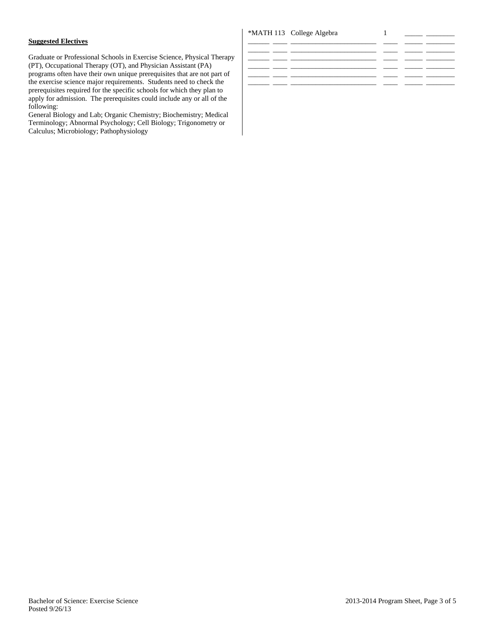# **Suggested Electives**

Graduate or Professional Schools in Exercise Science, Physical Therapy (PT), Occupational Therapy (OT), and Physician Assistant (PA) programs often have their own unique prerequisites that are not part of the exercise science major requirements. Students need to check the prerequisites required for the specific schools for which they plan to apply for admission. The prerequisites could include any or all of the following:

General Biology and Lab; Organic Chemistry; Biochemistry; Medical Terminology; Abnormal Psychology; Cell Biology; Trigonometry or Calculus; Microbiology; Pathophysiology

# \*MATH 113 College Algebra 1 \_\_\_\_\_ \_\_\_\_\_\_\_\_

| _______ | ______ | $\overline{\phantom{a}}$ |  |
|---------|--------|--------------------------|--|
|         |        |                          |  |
|         |        |                          |  |
|         |        |                          |  |
|         |        |                          |  |
|         |        |                          |  |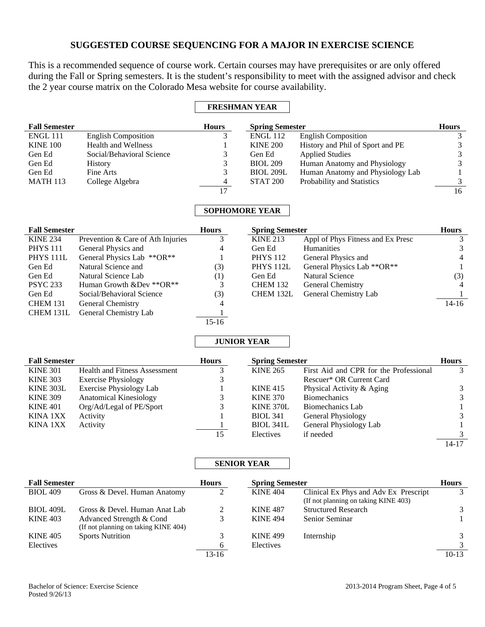# **SUGGESTED COURSE SEQUENCING FOR A MAJOR IN EXERCISE SCIENCE**

This is a recommended sequence of course work. Certain courses may have prerequisites or are only offered during the Fall or Spring semesters. It is the student's responsibility to meet with the assigned advisor and check the 2 year course matrix on the Colorado Mesa website for course availability.

# **FRESHMAN YEAR**

| <b>Fall Semester</b>                |                                      | <b>Hours</b>            | <b>Spring Semester</b>                    |                                                  | <b>Hours</b>                   |
|-------------------------------------|--------------------------------------|-------------------------|-------------------------------------------|--------------------------------------------------|--------------------------------|
| <b>ENGL 111</b>                     | <b>English Composition</b>           | 3                       | <b>ENGL 112</b>                           | English Composition                              | 3                              |
| <b>KINE 100</b>                     | <b>Health and Wellness</b>           | 1                       | <b>KINE 200</b>                           | History and Phil of Sport and PE                 | 3                              |
| Gen Ed                              | Social/Behavioral Science            | 3                       | Gen Ed                                    | <b>Applied Studies</b>                           | $\mathfrak{Z}$                 |
| Gen Ed                              | History                              | 3                       | <b>BIOL 209</b>                           | Human Anatomy and Physiology                     | 3                              |
| Gen Ed                              | Fine Arts                            | 3                       | <b>BIOL 209L</b>                          | Human Anatomy and Physiology Lab                 | $\mathbf{1}$                   |
| <b>MATH 113</b>                     | College Algebra                      | $\overline{\mathbf{4}}$ | <b>STAT 200</b>                           | Probability and Statistics                       | 3                              |
|                                     |                                      | 17                      |                                           |                                                  | $\overline{16}$                |
|                                     |                                      |                         | <b>SOPHOMORE YEAR</b>                     |                                                  |                                |
|                                     |                                      |                         |                                           |                                                  |                                |
| <b>Fall Semester</b>                |                                      | <b>Hours</b>            | <b>Spring Semester</b>                    |                                                  | <b>Hours</b>                   |
| <b>KINE 234</b>                     | Prevention & Care of Ath Injuries    | 3                       | <b>KINE 213</b>                           | Appl of Phys Fitness and Ex Presc                | 3                              |
| <b>PHYS 111</b>                     | General Physics and                  | 4                       | Gen Ed                                    | Humanities                                       | 3                              |
| PHYS <sub>111L</sub>                | General Physics Lab **OR**           | 1                       | <b>PHYS 112</b>                           | General Physics and                              | $\overline{\mathcal{L}}$       |
| Gen Ed                              | Natural Science and                  | (3)                     | PHYS <sub>112L</sub>                      | General Physics Lab ** OR**                      | $\mathbf{1}$                   |
| Gen Ed                              | Natural Science Lab                  | (1)                     | Gen Ed                                    | <b>Natural Science</b>                           | (3)                            |
| <b>PSYC 233</b>                     | Human Growth &Dev ** OR**            | 3                       | <b>CHEM 132</b>                           | General Chemistry                                | 4                              |
| Gen Ed                              | Social/Behavioral Science            | (3)                     | CHEM 132L                                 | General Chemistry Lab                            |                                |
| <b>CHEM 131</b>                     | General Chemistry                    | 4                       |                                           |                                                  | $14 - 16$                      |
| CHEM 131L                           | General Chemistry Lab                |                         |                                           |                                                  |                                |
|                                     |                                      | $15-16$                 |                                           |                                                  |                                |
|                                     |                                      |                         |                                           |                                                  |                                |
|                                     |                                      |                         | <b>JUNIOR YEAR</b>                        |                                                  |                                |
|                                     |                                      |                         |                                           |                                                  |                                |
| <b>Fall Semester</b>                | <b>Health and Fitness Assessment</b> | <b>Hours</b>            | <b>Spring Semester</b><br><b>KINE 265</b> | First Aid and CPR for the Professional           | <b>Hours</b><br>3              |
| <b>KINE 301</b>                     |                                      | 3                       |                                           | Rescuer* OR Current Card                         |                                |
| <b>KINE 303</b><br><b>KINE 303L</b> | <b>Exercise Physiology</b>           | 3                       | <b>KINE 415</b>                           |                                                  |                                |
| <b>KINE 309</b>                     | <b>Exercise Physiology Lab</b>       | 3                       | <b>KINE 370</b>                           | Physical Activity & Aging<br><b>Biomechanics</b> | 3                              |
| <b>KINE 401</b>                     | Anatomical Kinesiology               | 3                       | <b>KINE 370L</b>                          | Biomechanics Lab                                 | $\mathfrak{Z}$<br>$\mathbf{1}$ |
| KINA 1XX                            | Org/Ad/Legal of PE/Sport<br>Activity |                         | <b>BIOL 341</b>                           |                                                  |                                |
| <b>KINA 1XX</b>                     | Activity                             |                         | <b>BIOL 341L</b>                          | General Physiology<br>General Physiology Lab     | $\mathfrak 3$<br>1             |
|                                     |                                      | $\overline{15}$         | Electives                                 | if needed                                        | 3                              |
|                                     |                                      |                         |                                           |                                                  | $14-17$                        |
|                                     |                                      |                         |                                           |                                                  |                                |
|                                     |                                      |                         | <b>SENIOR YEAR</b>                        |                                                  |                                |
| <b>Fall Semester</b>                |                                      | <b>Hours</b>            | <b>Spring Semester</b>                    |                                                  | <b>Hours</b>                   |
| <b>BIOL 409</b>                     | Gross & Devel. Human Anatomy         | $\overline{2}$          | <b>KINE 404</b>                           | Clinical Ex Phys and Adv Ex Prescript            | 3                              |
|                                     |                                      |                         |                                           | (If not planning on taking KINE 403)             |                                |
| <b>BIOL 409L</b>                    | Gross & Devel. Human Anat Lab        | $\overline{c}$          | <b>KINE 487</b>                           | <b>Structured Research</b>                       | 3                              |
| <b>KINE 403</b>                     | Advanced Strength & Cond             | 3                       | <b>KINE 494</b>                           | Senior Seminar                                   | $\mathbf{1}$                   |
|                                     | (If not planning on taking KINE 404) |                         |                                           |                                                  |                                |
| <b>KINE 405</b><br>Electives        | <b>Sports Nutrition</b>              | 3<br>6                  | <b>KINE 499</b><br>Electives              | Internship                                       | 3<br>$\mathfrak{Z}$            |

13-16 10-13